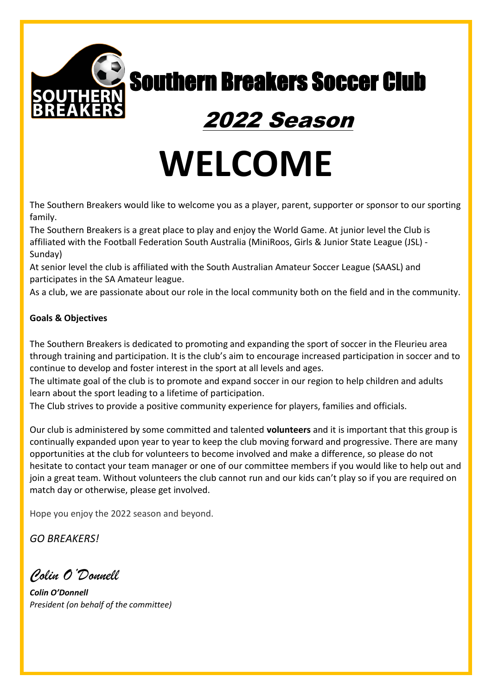

Southern Breakers Soccer Club Southern Breakers Soccer Club

## 2022 Season

# **WELCOME**

The Southern Breakers would like to welcome you as a player, parent, supporter or sponsor to our sporting family.

The Southern Breakers is a great place to play and enjoy the World Game. At junior level the Club is affiliated with the Football Federation South Australia (MiniRoos, Girls & Junior State League (JSL) - Sunday)

At senior level the club is affiliated with the South Australian Amateur Soccer League (SAASL) and participates in the SA Amateur league.

As a club, we are passionate about our role in the local community both on the field and in the community.

## **Goals & Objectives**

The Southern Breakers is dedicated to promoting and expanding the sport of soccer in the Fleurieu area through training and participation. It is the club's aim to encourage increased participation in soccer and to continue to develop and foster interest in the sport at all levels and ages.

The ultimate goal of the club is to promote and expand soccer in our region to help children and adults learn about the sport leading to a lifetime of participation.

The Club strives to provide a positive community experience for players, families and officials.

Our club is administered by some committed and talented **volunteers** and it is important that this group is continually expanded upon year to year to keep the club moving forward and progressive. There are many opportunities at the club for volunteers to become involved and make a difference, so please do not hesitate to contact your team manager or one of our committee members if you would like to help out and join a great team. Without volunteers the club cannot run and our kids can't play so if you are required on match day or otherwise, please get involved.

Hope you enjoy the 2022 season and beyond.

*GO BREAKERS!*

*Colin O'Donnell*

*Colin O'Donnell President (on behalf of the committee)*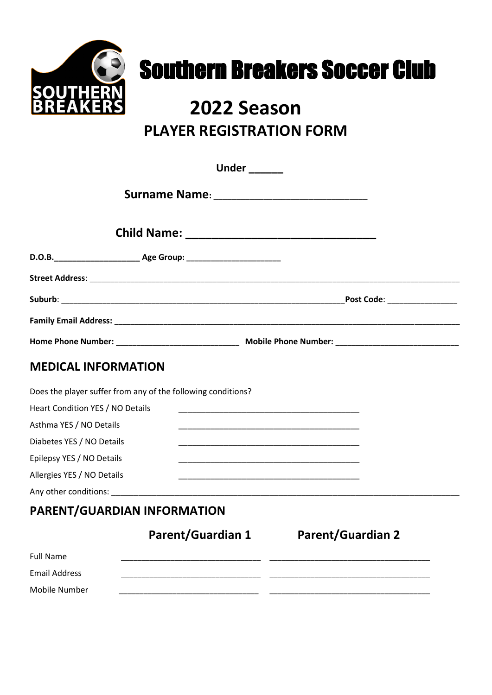

# **Southern Breakers Soccer Club**

## **2022 Season PLAYER REGISTRATION FORM**

| <b>Under</b> ______                                          |                                                                                                                       |  |
|--------------------------------------------------------------|-----------------------------------------------------------------------------------------------------------------------|--|
|                                                              |                                                                                                                       |  |
|                                                              |                                                                                                                       |  |
|                                                              |                                                                                                                       |  |
|                                                              |                                                                                                                       |  |
|                                                              | Post Code: _________________                                                                                          |  |
|                                                              |                                                                                                                       |  |
|                                                              |                                                                                                                       |  |
| <b>MEDICAL INFORMATION</b>                                   |                                                                                                                       |  |
| Does the player suffer from any of the following conditions? |                                                                                                                       |  |
| Heart Condition YES / NO Details                             | <u> 1989 - Johann John Stone, mars eta biztanleria (h. 1989).</u>                                                     |  |
| Asthma YES / NO Details                                      |                                                                                                                       |  |
| Diabetes YES / NO Details                                    | <u> 1989 - Johann John Stein, markin film yn y brening yn y brening yn y brening yn y brening yn y brening yn y b</u> |  |
| Epilepsy YES / NO Details                                    | <u> 1980 - Johann John Stone, mars eta bat eta bat eta bat eta bat eta bat ez erroman ez erroman ez erroman ez e</u>  |  |
| Allergies YES / NO Details                                   | <u> 1989 - Johann John Stone, mars eta biztanleria (h. 1989).</u>                                                     |  |
|                                                              |                                                                                                                       |  |
| PARENT/GUARDIAN INFORMATION                                  |                                                                                                                       |  |
| <b>Parent/Guardian 1</b>                                     | <b>Parent/Guardian 2</b>                                                                                              |  |
| $F \sim H$ Materials                                         |                                                                                                                       |  |

| Full Name            |  |
|----------------------|--|
| <b>Email Address</b> |  |
| Mobile Number        |  |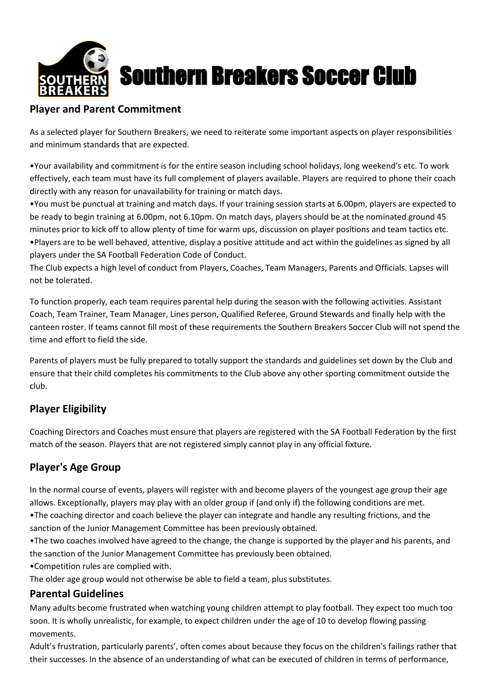

# Southern Breakers Soccer Club

## **Player and Parent Commitment**

As a selected player for Southern Breakers, we need to reiterate some important aspects on player responsibilities and minimum standards that are expected.

•Your availability and commitment is for the entire season including school holidays, long weekend's etc. To work effectively, each team must have its full complement of players available. Players are required to phone their coach directly with any reason for unavailability for training or match days.

•You must be punctual at training and match days. If your training session starts at 6.00pm, players are expected to be ready to begin training at 6.00pm, not 6.10pm. On match days, players should be at the nominated ground 45 minutes prior to kick off to allow plenty of time for warm ups, discussion on player positions and team tactics etc. •Players are to be well behaved, attentive, display a positive attitude and act within the guidelines as signed by all players under the SA Football Federation Code of Conduct.

The Club expects a high level of conduct from Players, Coaches, Team Managers, Parents and Officials. Lapses will not be tolerated.

To function properly, each team requires parental help during the season with the following activities. Assistant Coach, Team Trainer, Team Manager, Lines person, Qualified Referee, Ground Stewards and finally help with the canteen roster. If teams cannot fill most of these requirements the Southern Breakers Soccer Club will not spend the time and effort to field the side.

Parents of players must be fully prepared to totally support the standards and guidelines set down by the Club and ensure that their child completes his commitments to the Club above any other sporting commitment outside the club.

## **Player Eligibility**

Coaching Directors and Coaches must ensure that players are registered with the SA Football Federation by the first match of the season. Players that are not registered simply cannot play in any official fixture.

## **Player's Age Group**

In the normal course of events, players will register with and become players of the youngest age group their age allows. Exceptionally, players may play with an older group if (and only if) the following conditions are met.

•The coaching director and coach believe the player can integrate and handle any resulting frictions, and the sanction of the Junior Management Committee has been previously obtained.

•The two coaches involved have agreed to the change, the change is supported by the player and his parents, and the sanction of the Junior Management Committee has previously been obtained.

•Competition rules are complied with.

The older age group would not otherwise be able to field a team, plus substitutes.

## **Parental Guidelines**

Many adults become frustrated when watching young children attempt to play football. They expect too much too soon. It is wholly unrealistic, for example, to expect children under the age of 10 to develop flowing passing movements.

Adult's frustration, particularly parents', often comes about because they focus on the children's failings rather that their successes. In the absence of an understanding of what can be executed of children in terms of performance,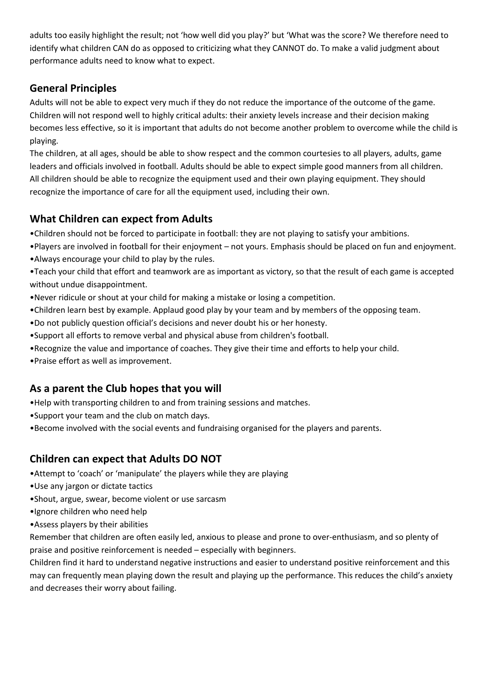adults too easily highlight the result; not 'how well did you play?' but 'What was the score? We therefore need to identify what children CAN do as opposed to criticizing what they CANNOT do. To make a valid judgment about performance adults need to know what to expect.

## **General Principles**

Adults will not be able to expect very much if they do not reduce the importance of the outcome of the game. Children will not respond well to highly critical adults: their anxiety levels increase and their decision making becomes less effective, so it is important that adults do not become another problem to overcome while the child is playing.

The children, at all ages, should be able to show respect and the common courtesies to all players, adults, game leaders and officials involved in football. Adults should be able to expect simple good manners from all children. All children should be able to recognize the equipment used and their own playing equipment. They should recognize the importance of care for all the equipment used, including their own.

## **What Children can expect from Adults**

- •Children should not be forced to participate in football: they are not playing to satisfy your ambitions.
- •Players are involved in football for their enjoyment not yours. Emphasis should be placed on fun and enjoyment.
- •Always encourage your child to play by the rules.
- •Teach your child that effort and teamwork are as important as victory, so that the result of each game is accepted without undue disappointment.
- •Never ridicule or shout at your child for making a mistake or losing a competition.
- •Children learn best by example. Applaud good play by your team and by members of the opposing team.
- •Do not publicly question official's decisions and never doubt his or her honesty.
- •Support all efforts to remove verbal and physical abuse from children's football.
- •Recognize the value and importance of coaches. They give their time and efforts to help your child.
- •Praise effort as well as improvement.

## **As a parent the Club hopes that you will**

- •Help with transporting children to and from training sessions and matches.
- •Support your team and the club on match days.
- •Become involved with the social events and fundraising organised for the players and parents.

## **Children can expect that Adults DO NOT**

- •Attempt to 'coach' or 'manipulate' the players while they are playing
- •Use any jargon or dictate tactics
- •Shout, argue, swear, become violent or use sarcasm
- •Ignore children who need help
- •Assess players by their abilities

Remember that children are often easily led, anxious to please and prone to over-enthusiasm, and so plenty of praise and positive reinforcement is needed – especially with beginners.

Children find it hard to understand negative instructions and easier to understand positive reinforcement and this may can frequently mean playing down the result and playing up the performance. This reduces the child's anxiety and decreases their worry about failing.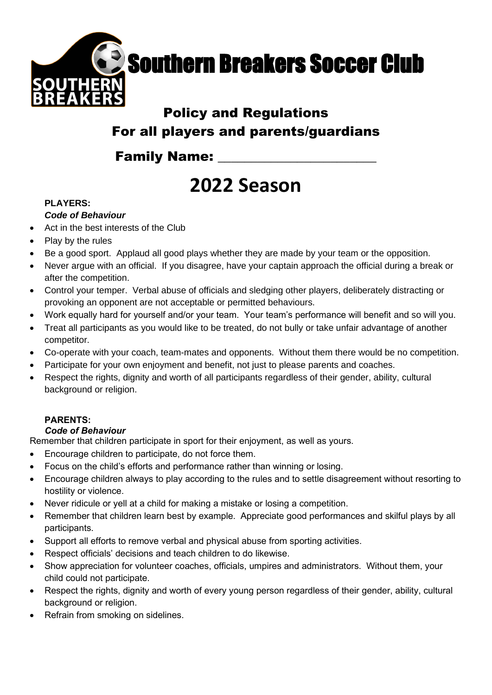

## Policy and Regulations For all players and parents/guardians

## **Family Name:**

## **2022 Season**

## **PLAYERS:**

### *Code of Behaviour*

- Act in the best interests of the Club
- Play by the rules
- Be a good sport. Applaud all good plays whether they are made by your team or the opposition.
- Never argue with an official. If you disagree, have your captain approach the official during a break or after the competition.
- Control your temper. Verbal abuse of officials and sledging other players, deliberately distracting or provoking an opponent are not acceptable or permitted behaviours.
- Work equally hard for yourself and/or your team. Your team's performance will benefit and so will you.
- Treat all participants as you would like to be treated, do not bully or take unfair advantage of another competitor.
- Co-operate with your coach, team-mates and opponents. Without them there would be no competition.
- Participate for your own enjoyment and benefit, not just to please parents and coaches.
- Respect the rights, dignity and worth of all participants regardless of their gender, ability, cultural background or religion.

## **PARENTS:**

### *Code of Behaviour*

Remember that children participate in sport for their enjoyment, as well as yours.

- Encourage children to participate, do not force them.
- Focus on the child's efforts and performance rather than winning or losing.
- Encourage children always to play according to the rules and to settle disagreement without resorting to hostility or violence.
- Never ridicule or yell at a child for making a mistake or losing a competition.
- Remember that children learn best by example. Appreciate good performances and skilful plays by all participants.
- Support all efforts to remove verbal and physical abuse from sporting activities.
- Respect officials' decisions and teach children to do likewise.
- Show appreciation for volunteer coaches, officials, umpires and administrators. Without them, your child could not participate.
- Respect the rights, dignity and worth of every young person regardless of their gender, ability, cultural background or religion.
- Refrain from smoking on sidelines.